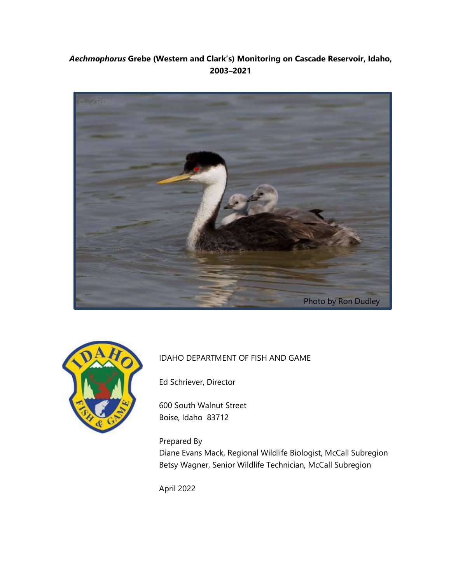## *Aechmophorus* **Grebe (Western and Clark's) Monitoring on Cascade Reservoir, Idaho, 2003–2021**





## IDAHO DEPARTMENT OF FISH AND GAME

Ed Schriever, Director

600 South Walnut Street Boise, Idaho 83712

Prepared By Diane Evans Mack, Regional Wildlife Biologist, McCall Subregion Betsy Wagner, Senior Wildlife Technician, McCall Subregion

April 2022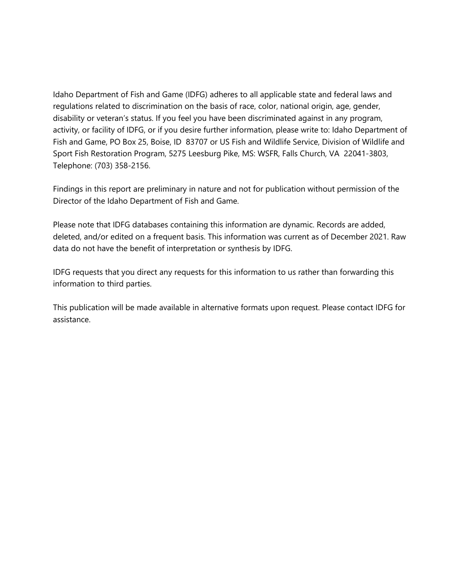Idaho Department of Fish and Game (IDFG) adheres to all applicable state and federal laws and regulations related to discrimination on the basis of race, color, national origin, age, gender, disability or veteran's status. If you feel you have been discriminated against in any program, activity, or facility of IDFG, or if you desire further information, please write to: Idaho Department of Fish and Game, PO Box 25, Boise, ID 83707 or US Fish and Wildlife Service, Division of Wildlife and Sport Fish Restoration Program, 5275 Leesburg Pike, MS: WSFR, Falls Church, VA 22041-3803, Telephone: (703) 358-2156.

Findings in this report are preliminary in nature and not for publication without permission of the Director of the Idaho Department of Fish and Game.

Please note that IDFG databases containing this information are dynamic. Records are added, deleted, and/or edited on a frequent basis. This information was current as of December 2021. Raw data do not have the benefit of interpretation or synthesis by IDFG.

IDFG requests that you direct any requests for this information to us rather than forwarding this information to third parties.

This publication will be made available in alternative formats upon request. Please contact IDFG for assistance.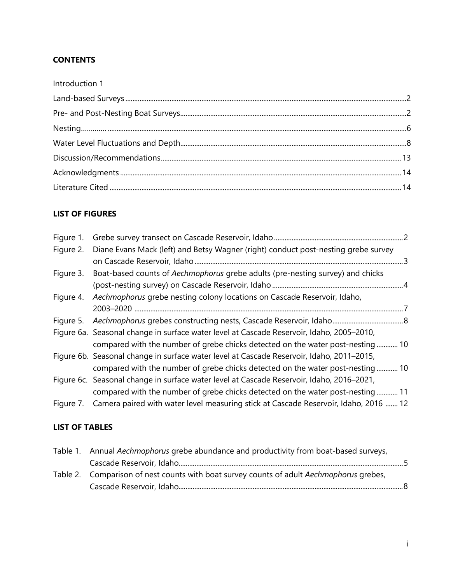## **CONTENTS**

# **LIST OF FIGURES**

| Figure 1. |                                                                                                |  |
|-----------|------------------------------------------------------------------------------------------------|--|
| Figure 2. | Diane Evans Mack (left) and Betsy Wagner (right) conduct post-nesting grebe survey             |  |
| Figure 3. | Boat-based counts of Aechmophorus grebe adults (pre-nesting survey) and chicks                 |  |
| Figure 4. | Aechmophorus grebe nesting colony locations on Cascade Reservoir, Idaho,                       |  |
|           |                                                                                                |  |
|           | Figure 6a. Seasonal change in surface water level at Cascade Reservoir, Idaho, 2005-2010,      |  |
|           | compared with the number of grebe chicks detected on the water post-nesting 10                 |  |
|           | Figure 6b. Seasonal change in surface water level at Cascade Reservoir, Idaho, 2011-2015,      |  |
|           | compared with the number of grebe chicks detected on the water post-nesting 10                 |  |
|           | Figure 6c. Seasonal change in surface water level at Cascade Reservoir, Idaho, 2016–2021,      |  |
|           | compared with the number of grebe chicks detected on the water post-nesting 11                 |  |
|           | Figure 7. Camera paired with water level measuring stick at Cascade Reservoir, Idaho, 2016  12 |  |

## **LIST OF TABLES**

| Table 1. Annual Aechmophorus grebe abundance and productivity from boat-based surveys,   |  |  |  |  |
|------------------------------------------------------------------------------------------|--|--|--|--|
|                                                                                          |  |  |  |  |
| Table 2. Comparison of nest counts with boat survey counts of adult Aechmophorus grebes, |  |  |  |  |
|                                                                                          |  |  |  |  |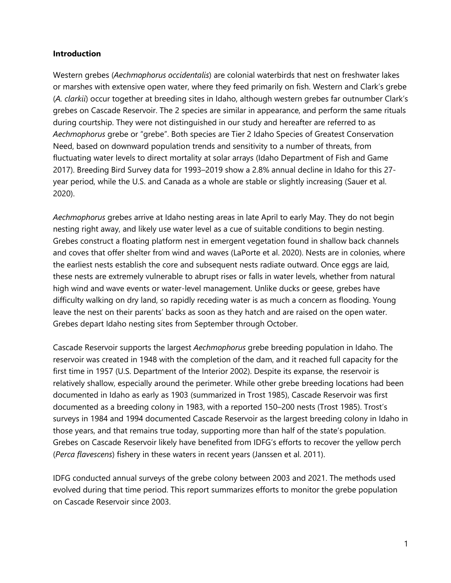#### <span id="page-3-0"></span>**Introduction**

Western grebes (*Aechmophorus occidentalis*) are colonial waterbirds that nest on freshwater lakes or marshes with extensive open water, where they feed primarily on fish. Western and Clark's grebe (*A. clarkii*) occur together at breeding sites in Idaho, although western grebes far outnumber Clark's grebes on Cascade Reservoir. The 2 species are similar in appearance, and perform the same rituals during courtship. They were not distinguished in our study and hereafter are referred to as *Aechmophorus* grebe or "grebe". Both species are Tier 2 Idaho Species of Greatest Conservation Need, based on downward population trends and sensitivity to a number of threats, from fluctuating water levels to direct mortality at solar arrays (Idaho Department of Fish and Game 2017). Breeding Bird Survey data for 1993–2019 show a 2.8% annual decline in Idaho for this 27 year period, while the U.S. and Canada as a whole are stable or slightly increasing (Sauer et al. 2020).

*Aechmophorus* grebes arrive at Idaho nesting areas in late April to early May. They do not begin nesting right away, and likely use water level as a cue of suitable conditions to begin nesting. Grebes construct a floating platform nest in emergent vegetation found in shallow back channels and coves that offer shelter from wind and waves (LaPorte et al. 2020). Nests are in colonies, where the earliest nests establish the core and subsequent nests radiate outward. Once eggs are laid, these nests are extremely vulnerable to abrupt rises or falls in water levels, whether from natural high wind and wave events or water-level management. Unlike ducks or geese, grebes have difficulty walking on dry land, so rapidly receding water is as much a concern as flooding. Young leave the nest on their parents' backs as soon as they hatch and are raised on the open water. Grebes depart Idaho nesting sites from September through October.

Cascade Reservoir supports the largest *Aechmophorus* grebe breeding population in Idaho. The reservoir was created in 1948 with the completion of the dam, and it reached full capacity for the first time in 1957 (U.S. Department of the Interior 2002). Despite its expanse, the reservoir is relatively shallow, especially around the perimeter. While other grebe breeding locations had been documented in Idaho as early as 1903 (summarized in Trost 1985), Cascade Reservoir was first documented as a breeding colony in 1983, with a reported 150–200 nests (Trost 1985). Trost's surveys in 1984 and 1994 documented Cascade Reservoir as the largest breeding colony in Idaho in those years, and that remains true today, supporting more than half of the state's population. Grebes on Cascade Reservoir likely have benefited from IDFG's efforts to recover the yellow perch (*Perca flavescens*) fishery in these waters in recent years (Janssen et al. 2011).

IDFG conducted annual surveys of the grebe colony between 2003 and 2021. The methods used evolved during that time period. This report summarizes efforts to monitor the grebe population on Cascade Reservoir since 2003.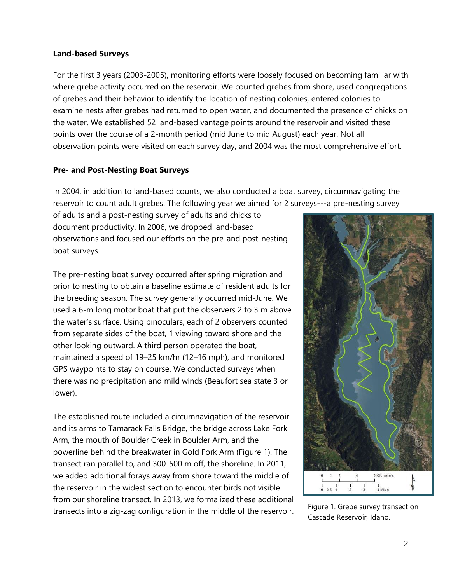#### <span id="page-4-0"></span>**Land-based Surveys**

For the first 3 years (2003-2005), monitoring efforts were loosely focused on becoming familiar with where grebe activity occurred on the reservoir. We counted grebes from shore, used congregations of grebes and their behavior to identify the location of nesting colonies, entered colonies to examine nests after grebes had returned to open water, and documented the presence of chicks on the water. We established 52 land-based vantage points around the reservoir and visited these points over the course of a 2-month period (mid June to mid August) each year. Not all observation points were visited on each survey day, and 2004 was the most comprehensive effort.

### <span id="page-4-1"></span>**Pre- and Post-Nesting Boat Surveys**

In 2004, in addition to land-based counts, we also conducted a boat survey, circumnavigating the reservoir to count adult grebes. The following year we aimed for 2 surveys---a pre-nesting survey

of adults and a post-nesting survey of adults and chicks to document productivity. In 2006, we dropped land-based observations and focused our efforts on the pre-and post-nesting boat surveys.

The pre-nesting boat survey occurred after spring migration and prior to nesting to obtain a baseline estimate of resident adults for the breeding season. The survey generally occurred mid-June. We used a 6-m long motor boat that put the observers 2 to 3 m above the water's surface. Using binoculars, each of 2 observers counted from separate sides of the boat, 1 viewing toward shore and the other looking outward. A third person operated the boat, maintained a speed of 19–25 km/hr (12–16 mph), and monitored GPS waypoints to stay on course. We conducted surveys when there was no precipitation and mild winds (Beaufort sea state 3 or lower).

The established route included a circumnavigation of the reservoir and its arms to Tamarack Falls Bridge, the bridge across Lake Fork Arm, the mouth of Boulder Creek in Boulder Arm, and the powerline behind the breakwater in Gold Fork Arm (Figure 1). The transect ran parallel to, and 300-500 m off, the shoreline. In 2011, we added additional forays away from shore toward the middle of the reservoir in the widest section to encounter birds not visible from our shoreline transect. In 2013, we formalized these additional transects into a zig-zag configuration in the middle of the reservoir. Figure 1. Grebe survey transect on



Cascade Reservoir, Idaho.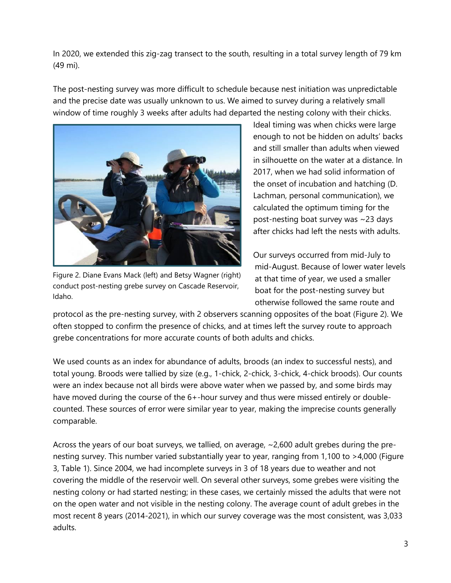In 2020, we extended this zig-zag transect to the south, resulting in a total survey length of 79 km (49 mi).

The post-nesting survey was more difficult to schedule because nest initiation was unpredictable and the precise date was usually unknown to us. We aimed to survey during a relatively small window of time roughly 3 weeks after adults had departed the nesting colony with their chicks.



Figure 2. Diane Evans Mack (left) and Betsy Wagner (right) conduct post-nesting grebe survey on Cascade Reservoir, Idaho.

Ideal timing was when chicks were large enough to not be hidden on adults' backs and still smaller than adults when viewed in silhouette on the water at a distance. In 2017, when we had solid information of the onset of incubation and hatching (D. Lachman, personal communication), we calculated the optimum timing for the post-nesting boat survey was ~23 days after chicks had left the nests with adults.

Our surveys occurred from mid-July to mid-August. Because of lower water levels at that time of year, we used a smaller boat for the post-nesting survey but otherwise followed the same route and

protocol as the pre-nesting survey, with 2 observers scanning opposites of the boat (Figure 2). We often stopped to confirm the presence of chicks, and at times left the survey route to approach grebe concentrations for more accurate counts of both adults and chicks.

We used counts as an index for abundance of adults, broods (an index to successful nests), and total young. Broods were tallied by size (e.g., 1-chick, 2-chick, 3-chick, 4-chick broods). Our counts were an index because not all birds were above water when we passed by, and some birds may have moved during the course of the 6+-hour survey and thus were missed entirely or doublecounted. These sources of error were similar year to year, making the imprecise counts generally comparable.

Across the years of our boat surveys, we tallied, on average, ~2,600 adult grebes during the prenesting survey. This number varied substantially year to year, ranging from 1,100 to >4,000 (Figure 3, Table 1). Since 2004, we had incomplete surveys in 3 of 18 years due to weather and not covering the middle of the reservoir well. On several other surveys, some grebes were visiting the nesting colony or had started nesting; in these cases, we certainly missed the adults that were not on the open water and not visible in the nesting colony. The average count of adult grebes in the most recent 8 years (2014-2021), in which our survey coverage was the most consistent, was 3,033 adults.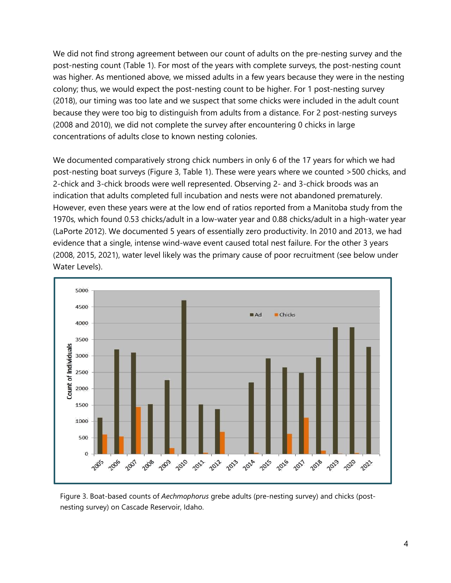We did not find strong agreement between our count of adults on the pre-nesting survey and the post-nesting count (Table 1). For most of the years with complete surveys, the post-nesting count was higher. As mentioned above, we missed adults in a few years because they were in the nesting colony; thus, we would expect the post-nesting count to be higher. For 1 post-nesting survey (2018), our timing was too late and we suspect that some chicks were included in the adult count because they were too big to distinguish from adults from a distance. For 2 post-nesting surveys (2008 and 2010), we did not complete the survey after encountering 0 chicks in large concentrations of adults close to known nesting colonies.

We documented comparatively strong chick numbers in only 6 of the 17 years for which we had post-nesting boat surveys (Figure 3, Table 1). These were years where we counted >500 chicks, and 2-chick and 3-chick broods were well represented. Observing 2- and 3-chick broods was an indication that adults completed full incubation and nests were not abandoned prematurely. However, even these years were at the low end of ratios reported from a Manitoba study from the 1970s, which found 0.53 chicks/adult in a low-water year and 0.88 chicks/adult in a high-water year (LaPorte 2012). We documented 5 years of essentially zero productivity. In 2010 and 2013, we had evidence that a single, intense wind-wave event caused total nest failure. For the other 3 years (2008, 2015, 2021), water level likely was the primary cause of poor recruitment (see below under Water Levels).



Figure 3. Boat-based counts of *Aechmophorus* grebe adults (pre-nesting survey) and chicks (postnesting survey) on Cascade Reservoir, Idaho.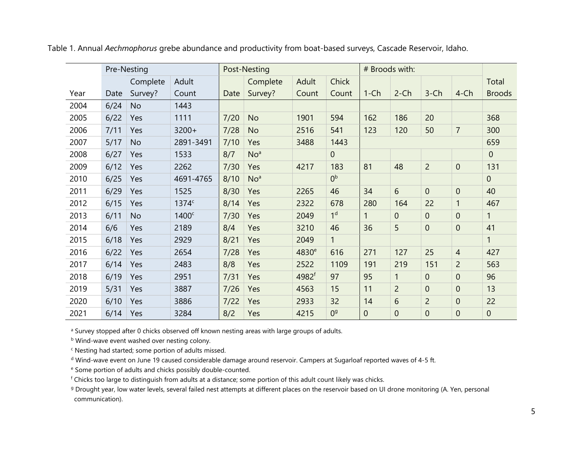<span id="page-7-0"></span>

|      | Pre-Nesting |           |                   | Post-Nesting |                 |                   |                | # Broods with: |                |                |                |               |
|------|-------------|-----------|-------------------|--------------|-----------------|-------------------|----------------|----------------|----------------|----------------|----------------|---------------|
|      |             | Complete  | Adult             |              | Complete        | Adult             | <b>Chick</b>   |                |                |                |                | Total         |
| Year | Date        | Survey?   | Count             | Date         | Survey?         | Count             | Count          | $1$ -Ch        | $2$ -Ch        | $3$ -Ch        | $4$ -Ch        | <b>Broods</b> |
| 2004 | 6/24        | <b>No</b> | 1443              |              |                 |                   |                |                |                |                |                |               |
| 2005 | 6/22        | Yes       | 1111              | 7/20         | <b>No</b>       | 1901              | 594            | 162            | 186            | 20             |                | 368           |
| 2006 | 7/11        | Yes       | $3200+$           | 7/28         | <b>No</b>       | 2516              | 541            | 123            | 120            | 50             | $\overline{7}$ | 300           |
| 2007 | 5/17        | <b>No</b> | 2891-3491         | 7/10         | Yes             | 3488              | 1443           |                |                |                |                | 659           |
| 2008 | 6/27        | Yes       | 1533              | 8/7          | No <sup>a</sup> |                   | $\mathbf 0$    |                |                |                |                | $\mathbf{0}$  |
| 2009 | 6/12        | Yes       | 2262              | 7/30         | Yes             | 4217              | 183            | 81             | 48             | $\overline{2}$ | $\overline{0}$ | 131           |
| 2010 | 6/25        | Yes       | 4691-4765         | 8/10         | No <sup>a</sup> |                   | 0 <sup>b</sup> |                |                |                |                | $\mathbf{0}$  |
| 2011 | 6/29        | Yes       | 1525              | 8/30         | Yes             | 2265              | 46             | 34             | 6              | $\overline{0}$ | $\overline{0}$ | 40            |
| 2012 | 6/15        | Yes       | 1374c             | 8/14         | Yes             | 2322              | 678            | 280            | 164            | 22             |                | 467           |
| 2013 | 6/11        | <b>No</b> | 1400 <sup>c</sup> | 7/30         | Yes             | 2049              | 1 <sup>d</sup> | 1              | $\Omega$       | $\overline{0}$ | $\overline{0}$ | 1             |
| 2014 | 6/6         | Yes       | 2189              | 8/4          | Yes             | 3210              | 46             | 36             | 5              | $\mathbf 0$    | $\overline{0}$ | 41            |
| 2015 | 6/18        | Yes       | 2929              | 8/21         | Yes             | 2049              | $\mathbf{1}$   |                |                |                |                | $\mathbf{1}$  |
| 2016 | 6/22        | Yes       | 2654              | 7/28         | Yes             | 4830 <sup>e</sup> | 616            | 271            | 127            | 25             | $\overline{4}$ | 427           |
| 2017 | 6/14        | Yes       | 2483              | 8/8          | Yes             | 2522              | 1109           | 191            | 219            | 151            | $\overline{2}$ | 563           |
| 2018 | 6/19        | Yes       | 2951              | 7/31         | Yes             | 4982 <sup>f</sup> | 97             | 95             | 1              | $\overline{0}$ | $\overline{0}$ | 96            |
| 2019 | 5/31        | Yes       | 3887              | 7/26         | Yes             | 4563              | 15             | 11             | $\overline{2}$ | $\theta$       | $\overline{0}$ | 13            |
| 2020 | 6/10        | Yes       | 3886              | 7/22         | Yes             | 2933              | 32             | 14             | 6              | $\overline{2}$ | $\mathbf 0$    | 22            |
| 2021 | 6/14        | Yes       | 3284              | 8/2          | Yes             | 4215              | 0 <sup>9</sup> | $\mathbf 0$    | $\overline{0}$ | $\mathbf 0$    | $\overline{0}$ | $\mathbf 0$   |

Table 1. Annual *Aechmophorus* grebe abundance and productivity from boat-based surveys, Cascade Reservoir, Idaho.

<sup>a</sup> Survey stopped after 0 chicks observed off known nesting areas with large groups of adults.

b Wind-wave event washed over nesting colony.

<sup>c</sup> Nesting had started; some portion of adults missed.

<sup>d</sup> Wind-wave event on June 19 caused considerable damage around reservoir. Campers at Sugarloaf reported waves of 4-5 ft.

<sup>e</sup> Some portion of adults and chicks possibly double-counted.

<sup>f</sup> Chicks too large to distinguish from adults at a distance; some portion of this adult count likely was chicks.

<sup>g</sup> Drought year, low water levels, several failed nest attempts at different places on the reservoir based on UI drone monitoring (A. Yen, personal communication).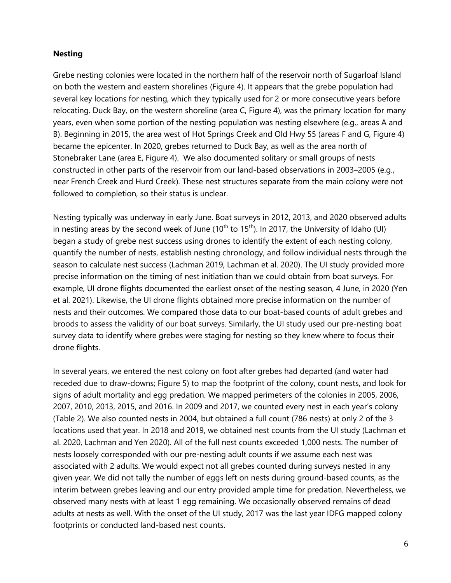#### <span id="page-8-0"></span>**Nesting**

Grebe nesting colonies were located in the northern half of the reservoir north of Sugarloaf Island on both the western and eastern shorelines (Figure 4). It appears that the grebe population had several key locations for nesting, which they typically used for 2 or more consecutive years before relocating. Duck Bay, on the western shoreline (area C, Figure 4), was the primary location for many years, even when some portion of the nesting population was nesting elsewhere (e.g., areas A and B). Beginning in 2015, the area west of Hot Springs Creek and Old Hwy 55 (areas F and G, Figure 4) became the epicenter. In 2020, grebes returned to Duck Bay, as well as the area north of Stonebraker Lane (area E, Figure 4). We also documented solitary or small groups of nests constructed in other parts of the reservoir from our land-based observations in 2003–2005 (e.g., near French Creek and Hurd Creek). These nest structures separate from the main colony were not followed to completion, so their status is unclear.

Nesting typically was underway in early June. Boat surveys in 2012, 2013, and 2020 observed adults in nesting areas by the second week of June  $(10<sup>th</sup>$  to  $15<sup>th</sup>)$ . In 2017, the University of Idaho (UI) began a study of grebe nest success using drones to identify the extent of each nesting colony, quantify the number of nests, establish nesting chronology, and follow individual nests through the season to calculate nest success (Lachman 2019, Lachman et al. 2020). The UI study provided more precise information on the timing of nest initiation than we could obtain from boat surveys. For example, UI drone flights documented the earliest onset of the nesting season, 4 June, in 2020 (Yen et al. 2021). Likewise, the UI drone flights obtained more precise information on the number of nests and their outcomes. We compared those data to our boat-based counts of adult grebes and broods to assess the validity of our boat surveys. Similarly, the UI study used our pre-nesting boat survey data to identify where grebes were staging for nesting so they knew where to focus their drone flights.

In several years, we entered the nest colony on foot after grebes had departed (and water had receded due to draw-downs; Figure 5) to map the footprint of the colony, count nests, and look for signs of adult mortality and egg predation. We mapped perimeters of the colonies in 2005, 2006, 2007, 2010, 2013, 2015, and 2016. In 2009 and 2017, we counted every nest in each year's colony (Table 2). We also counted nests in 2004, but obtained a full count (786 nests) at only 2 of the 3 locations used that year. In 2018 and 2019, we obtained nest counts from the UI study (Lachman et al. 2020, Lachman and Yen 2020). All of the full nest counts exceeded 1,000 nests. The number of nests loosely corresponded with our pre-nesting adult counts if we assume each nest was associated with 2 adults. We would expect not all grebes counted during surveys nested in any given year. We did not tally the number of eggs left on nests during ground-based counts, as the interim between grebes leaving and our entry provided ample time for predation. Nevertheless, we observed many nests with at least 1 egg remaining. We occasionally observed remains of dead adults at nests as well. With the onset of the UI study, 2017 was the last year IDFG mapped colony footprints or conducted land-based nest counts.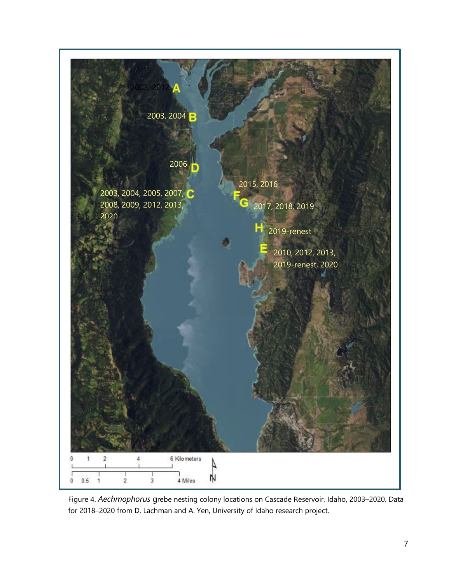

Figure 4. *Aechmophorus* grebe nesting colony locations on Cascade Reservoir, Idaho, 2003–2020. Data for 2018–2020 from D. Lachman and A. Yen, University of Idaho research project.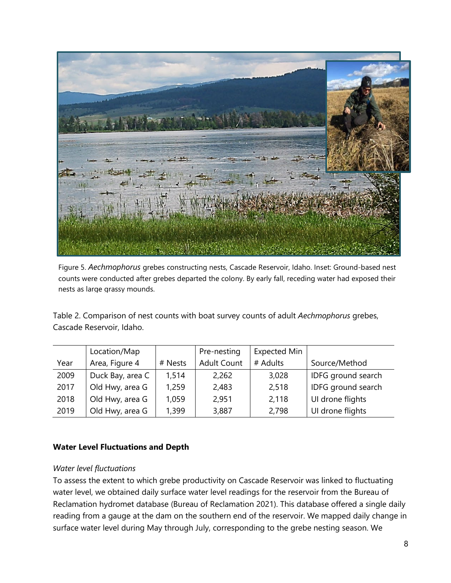

Figure 5. *Aechmophorus* grebes constructing nests, Cascade Reservoir, Idaho. Inset: Ground-based nest counts were conducted after grebes departed the colony. By early fall, receding water had exposed their nests as large grassy mounds.

<span id="page-10-1"></span>Table 2. Comparison of nest counts with boat survey counts of adult *Aechmophorus* grebes, Cascade Reservoir, Idaho.

|      | Location/Map     | Pre-nesting |                    | <b>Expected Min</b> |                    |
|------|------------------|-------------|--------------------|---------------------|--------------------|
| Year | Area, Figure 4   | # Nests     | <b>Adult Count</b> | # Adults            | Source/Method      |
| 2009 | Duck Bay, area C | 1,514       | 2,262              | 3,028               | IDFG ground search |
| 2017 | Old Hwy, area G  | 1,259       | 2,483              | 2,518               | IDFG ground search |
| 2018 | Old Hwy, area G  | 1,059       | 2,951              | 2,118               | UI drone flights   |
| 2019 | Old Hwy, area G  | 1,399       | 3,887              | 2,798               | UI drone flights   |

#### <span id="page-10-0"></span>**Water Level Fluctuations and Depth**

#### *Water level fluctuations*

To assess the extent to which grebe productivity on Cascade Reservoir was linked to fluctuating water level, we obtained daily surface water level readings for the reservoir from the Bureau of Reclamation hydromet database (Bureau of Reclamation 2021). This database offered a single daily reading from a gauge at the dam on the southern end of the reservoir. We mapped daily change in surface water level during May through July, corresponding to the grebe nesting season. We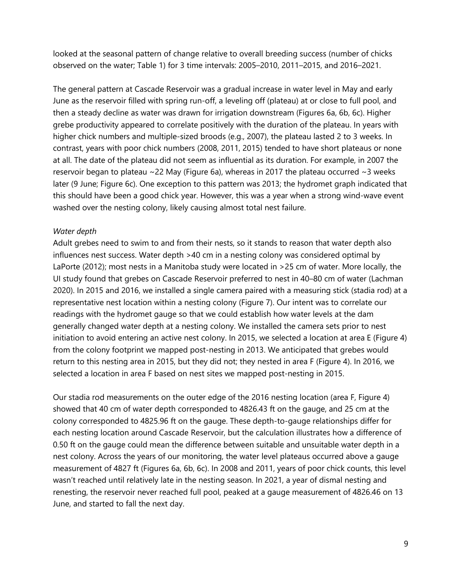looked at the seasonal pattern of change relative to overall breeding success (number of chicks observed on the water; Table 1) for 3 time intervals: 2005–2010, 2011–2015, and 2016–2021.

The general pattern at Cascade Reservoir was a gradual increase in water level in May and early June as the reservoir filled with spring run-off, a leveling off (plateau) at or close to full pool, and then a steady decline as water was drawn for irrigation downstream (Figures 6a, 6b, 6c). Higher grebe productivity appeared to correlate positively with the duration of the plateau. In years with higher chick numbers and multiple-sized broods (e.g., 2007), the plateau lasted 2 to 3 weeks. In contrast, years with poor chick numbers (2008, 2011, 2015) tended to have short plateaus or none at all. The date of the plateau did not seem as influential as its duration. For example, in 2007 the reservoir began to plateau  $\sim$  22 May (Figure 6a), whereas in 2017 the plateau occurred  $\sim$  3 weeks later (9 June; Figure 6c). One exception to this pattern was 2013; the hydromet graph indicated that this should have been a good chick year. However, this was a year when a strong wind-wave event washed over the nesting colony, likely causing almost total nest failure.

#### *Water depth*

Adult grebes need to swim to and from their nests, so it stands to reason that water depth also influences nest success. Water depth >40 cm in a nesting colony was considered optimal by LaPorte (2012); most nests in a Manitoba study were located in >25 cm of water. More locally, the UI study found that grebes on Cascade Reservoir preferred to nest in 40–80 cm of water (Lachman 2020). In 2015 and 2016, we installed a single camera paired with a measuring stick (stadia rod) at a representative nest location within a nesting colony (Figure 7). Our intent was to correlate our readings with the hydromet gauge so that we could establish how water levels at the dam generally changed water depth at a nesting colony. We installed the camera sets prior to nest initiation to avoid entering an active nest colony. In 2015, we selected a location at area E (Figure 4) from the colony footprint we mapped post-nesting in 2013. We anticipated that grebes would return to this nesting area in 2015, but they did not; they nested in area F (Figure 4). In 2016, we selected a location in area F based on nest sites we mapped post-nesting in 2015.

Our stadia rod measurements on the outer edge of the 2016 nesting location (area F, Figure 4) showed that 40 cm of water depth corresponded to 4826.43 ft on the gauge, and 25 cm at the colony corresponded to 4825.96 ft on the gauge. These depth-to-gauge relationships differ for each nesting location around Cascade Reservoir, but the calculation illustrates how a difference of 0.50 ft on the gauge could mean the difference between suitable and unsuitable water depth in a nest colony. Across the years of our monitoring, the water level plateaus occurred above a gauge measurement of 4827 ft (Figures 6a, 6b, 6c). In 2008 and 2011, years of poor chick counts, this level wasn't reached until relatively late in the nesting season. In 2021, a year of dismal nesting and renesting, the reservoir never reached full pool, peaked at a gauge measurement of 4826.46 on 13 June, and started to fall the next day.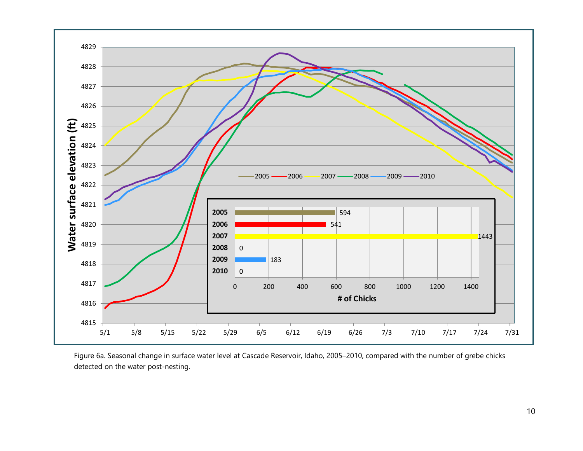

Figure 6a. Seasonal change in surface water level at Cascade Reservoir, Idaho, 2005–2010, compared with the number of grebe chicks detected on the water post-nesting.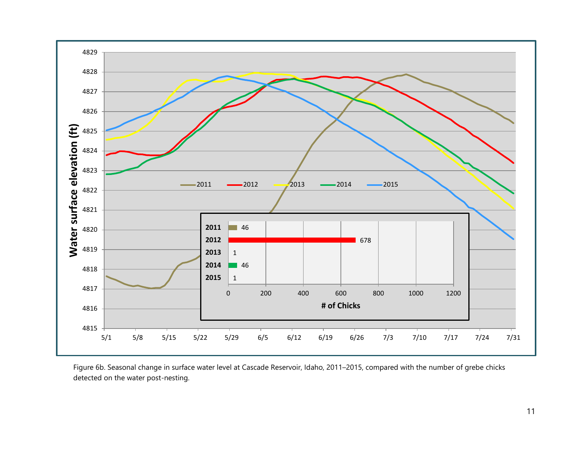

Figure 6b. Seasonal change in surface water level at Cascade Reservoir, Idaho, 2011–2015, compared with the number of grebe chicks detected on the water post-nesting.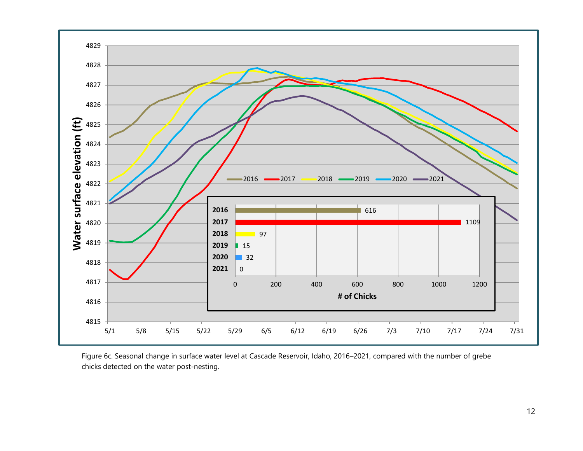

Figure 6c. Seasonal change in surface water level at Cascade Reservoir, Idaho, 2016–2021, compared with the number of grebe chicks detected on the water post-nesting.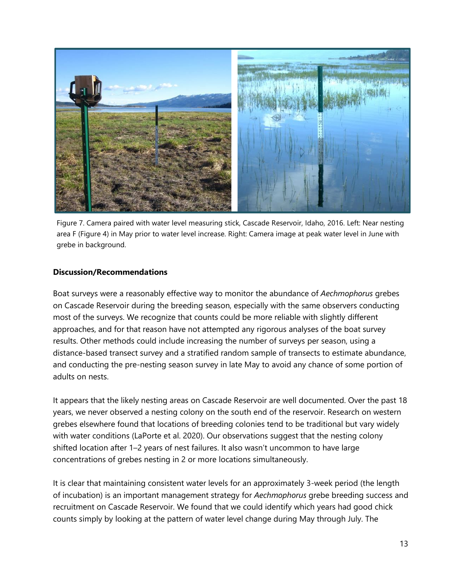

Figure 7. Camera paired with water level measuring stick, Cascade Reservoir, Idaho, 2016. Left: Near nesting area F (Figure 4) in May prior to water level increase. Right: Camera image at peak water level in June with grebe in background.

#### <span id="page-15-0"></span>**Discussion/Recommendations**

Boat surveys were a reasonably effective way to monitor the abundance of *Aechmophorus* grebes on Cascade Reservoir during the breeding season, especially with the same observers conducting most of the surveys. We recognize that counts could be more reliable with slightly different approaches, and for that reason have not attempted any rigorous analyses of the boat survey results. Other methods could include increasing the number of surveys per season, using a distance-based transect survey and a stratified random sample of transects to estimate abundance, and conducting the pre-nesting season survey in late May to avoid any chance of some portion of adults on nests.

It appears that the likely nesting areas on Cascade Reservoir are well documented. Over the past 18 years, we never observed a nesting colony on the south end of the reservoir. Research on western grebes elsewhere found that locations of breeding colonies tend to be traditional but vary widely with water conditions (LaPorte et al. 2020). Our observations suggest that the nesting colony shifted location after 1–2 years of nest failures. It also wasn't uncommon to have large concentrations of grebes nesting in 2 or more locations simultaneously.

It is clear that maintaining consistent water levels for an approximately 3-week period (the length of incubation) is an important management strategy for *Aechmophorus* grebe breeding success and recruitment on Cascade Reservoir. We found that we could identify which years had good chick counts simply by looking at the pattern of water level change during May through July. The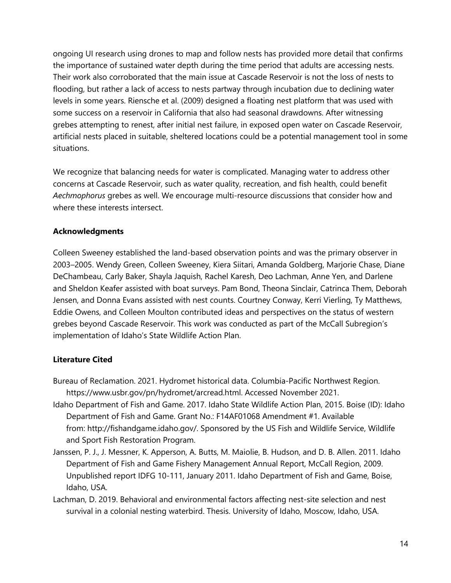ongoing UI research using drones to map and follow nests has provided more detail that confirms the importance of sustained water depth during the time period that adults are accessing nests. Their work also corroborated that the main issue at Cascade Reservoir is not the loss of nests to flooding, but rather a lack of access to nests partway through incubation due to declining water levels in some years. Riensche et al. (2009) designed a floating nest platform that was used with some success on a reservoir in California that also had seasonal drawdowns. After witnessing grebes attempting to renest, after initial nest failure, in exposed open water on Cascade Reservoir, artificial nests placed in suitable, sheltered locations could be a potential management tool in some situations.

We recognize that balancing needs for water is complicated. Managing water to address other concerns at Cascade Reservoir, such as water quality, recreation, and fish health, could benefit *Aechmophorus* grebes as well. We encourage multi-resource discussions that consider how and where these interests intersect.

### <span id="page-16-0"></span>**Acknowledgments**

Colleen Sweeney established the land-based observation points and was the primary observer in 2003–2005. Wendy Green, Colleen Sweeney, Kiera Siitari, Amanda Goldberg, Marjorie Chase, Diane DeChambeau, Carly Baker, Shayla Jaquish, Rachel Karesh, Deo Lachman, Anne Yen, and Darlene and Sheldon Keafer assisted with boat surveys. Pam Bond, Theona Sinclair, Catrinca Them, Deborah Jensen, and Donna Evans assisted with nest counts. Courtney Conway, Kerri Vierling, Ty Matthews, Eddie Owens, and Colleen Moulton contributed ideas and perspectives on the status of western grebes beyond Cascade Reservoir. This work was conducted as part of the McCall Subregion's implementation of Idaho's State Wildlife Action Plan.

#### <span id="page-16-1"></span>**Literature Cited**

- Bureau of Reclamation. 2021. Hydromet historical data. Columbia-Pacific Northwest Region. https://www.usbr.gov/pn/hydromet/arcread.html. Accessed November 2021.
- Idaho Department of Fish and Game. 2017. Idaho State Wildlife Action Plan, 2015. Boise (ID): Idaho Department of Fish and Game. Grant No.: F14AF01068 Amendment #1. Available from: http://fishandgame.idaho.gov/. Sponsored by the US Fish and Wildlife Service, Wildlife and Sport Fish Restoration Program.
- Janssen, P. J., J. Messner, K. Apperson, A. Butts, M. Maiolie, B. Hudson, and D. B. Allen. 2011. Idaho Department of Fish and Game Fishery Management Annual Report, McCall Region, 2009. Unpublished report IDFG 10-111, January 2011. Idaho Department of Fish and Game, Boise, Idaho, USA.
- Lachman, D. 2019. Behavioral and environmental factors affecting nest-site selection and nest survival in a colonial nesting waterbird. Thesis. University of Idaho, Moscow, Idaho, USA.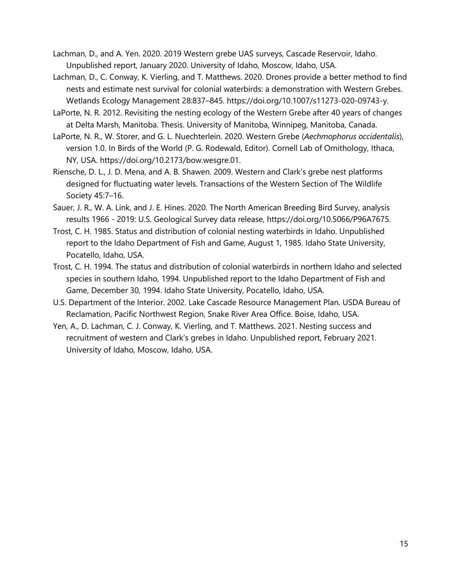Lachman, D., and A. Yen. 2020. 2019 Western grebe UAS surveys, Cascade Reservoir, Idaho. Unpublished report, January 2020. University of Idaho, Moscow, Idaho, USA.

- Lachman, D., C. Conway, K. Vierling, and T. Matthews. 2020. Drones provide a better method to find nests and estimate nest survival for colonial waterbirds: a demonstration with Western Grebes. Wetlands Ecology Management 28:837–845. https://doi.org/10.1007/s11273-020-09743-y.
- LaPorte, N. R. 2012. Revisiting the nesting ecology of the Western Grebe after 40 years of changes at Delta Marsh, Manitoba. Thesis. University of Manitoba, Winnipeg, Manitoba, Canada.
- LaPorte, N. R., W. Storer, and G. L. Nuechterlein. 2020. Western Grebe (*Aechmophorus occidentalis*), version 1.0. In Birds of the World (P. G. Rodewald, Editor). Cornell Lab of Ornithology, Ithaca, NY, USA. https://doi.org/10.2173/bow.wesgre.01.
- Riensche, D. L., J. D. Mena, and A. B. Shawen. 2009. Western and Clark's grebe nest platforms designed for fluctuating water levels. Transactions of the Western Section of The Wildlife Society 45:7–16.
- Sauer, J. R., W. A. Link, and J. E. Hines. 2020. The North American Breeding Bird Survey, analysis results 1966 - 2019: U.S. Geological Survey data release, https://doi.org/10.5066/P96A7675.
- Trost, C. H. 1985. Status and distribution of colonial nesting waterbirds in Idaho. Unpublished report to the Idaho Department of Fish and Game, August 1, 1985. Idaho State University, Pocatello, Idaho, USA.
- Trost, C. H. 1994. The status and distribution of colonial waterbirds in northern Idaho and selected species in southern Idaho, 1994. Unpublished report to the Idaho Department of Fish and Game, December 30, 1994. Idaho State University, Pocatello, Idaho, USA.
- U.S. Department of the Interior. 2002. Lake Cascade Resource Management Plan. USDA Bureau of Reclamation, Pacific Northwest Region, Snake River Area Office. Boise, Idaho, USA.
- Yen, A., D. Lachman, C. J. Conway, K. Vierling, and T. Matthews. 2021. Nesting success and recruitment of western and Clark's grebes in Idaho. Unpublished report, February 2021. University of Idaho, Moscow, Idaho, USA.